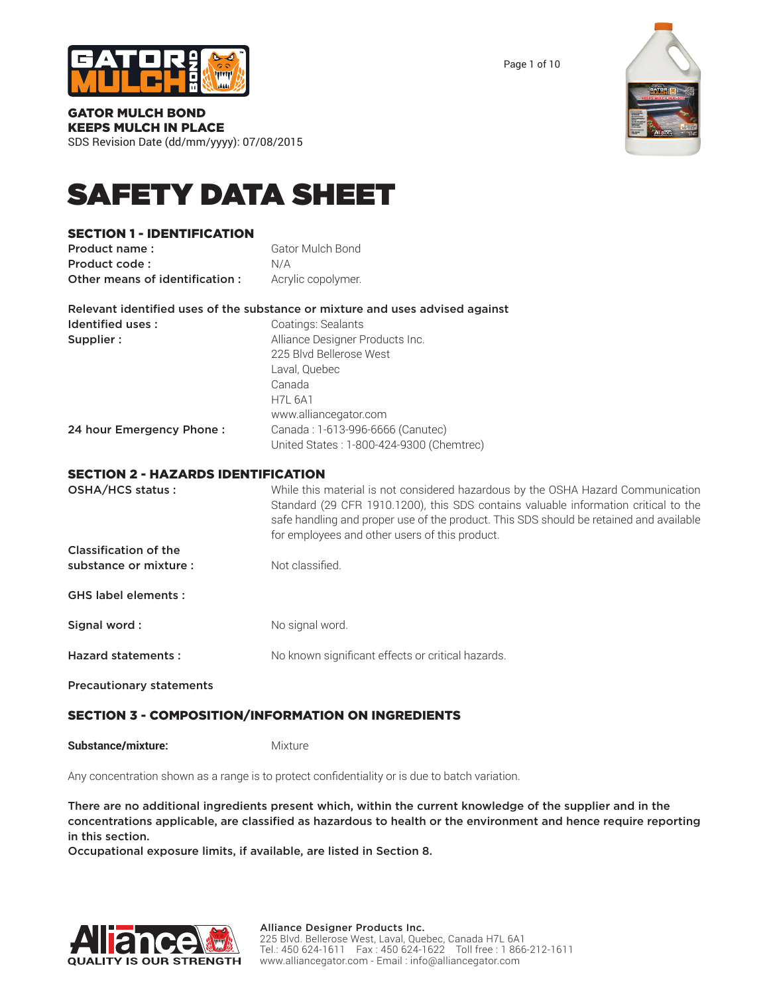

Page 1 of 10



# GATOR MULCH BOND KEEPS MULCH IN PLACE

SDS Revision Date (dd/mm/yyyy): 07/08/2015

# SAFETY DATA SHEET

# SECTION 1 - IDENTIFICATION

| Product name:                  | Gator Mulch Bond   |
|--------------------------------|--------------------|
| Product code:                  | N/A                |
| Other means of identification: | Acrylic copolymer. |

|                          | Relevant identified uses of the substance or mixture and uses advised against |
|--------------------------|-------------------------------------------------------------------------------|
| Identified uses:         | Coatings: Sealants                                                            |
| Supplier:                | Alliance Designer Products Inc.                                               |
|                          | 225 Blvd Bellerose West                                                       |
|                          | Laval, Quebec                                                                 |
|                          | Canada                                                                        |
|                          | <b>H7L 6A1</b>                                                                |
|                          | www.alliancegator.com                                                         |
| 24 hour Emergency Phone: | Canada: 1-613-996-6666 (Canutec)                                              |

# SECTION 2 - HAZARDS IDENTIFICATION

| YEVIIVIN E HAEANYY IFENIII IVALIVIN |                                                                                                                                                                                                                                                                                                                     |
|-------------------------------------|---------------------------------------------------------------------------------------------------------------------------------------------------------------------------------------------------------------------------------------------------------------------------------------------------------------------|
| OSHA/HCS status:                    | While this material is not considered hazardous by the OSHA Hazard Communication<br>Standard (29 CFR 1910.1200), this SDS contains valuable information critical to the<br>safe handling and proper use of the product. This SDS should be retained and available<br>for employees and other users of this product. |
| Classification of the               |                                                                                                                                                                                                                                                                                                                     |
| substance or mixture :              | Not classified.                                                                                                                                                                                                                                                                                                     |
| <b>GHS label elements:</b>          |                                                                                                                                                                                                                                                                                                                     |
| Signal word:                        | No signal word.                                                                                                                                                                                                                                                                                                     |
| <b>Hazard statements:</b>           | No known significant effects or critical hazards.                                                                                                                                                                                                                                                                   |
| <b>Precautionary statements</b>     |                                                                                                                                                                                                                                                                                                                     |

United States : 1-800-424-9300 (Chemtrec)

# SECTION 3 - COMPOSITION/INFORMATION ON INGREDIENTS

**Substance/mixture:** Mixture

Any concentration shown as a range is to protect confidentiality or is due to batch variation.

There are no additional ingredients present which, within the current knowledge of the supplier and in the concentrations applicable, are classified as hazardous to health or the environment and hence require reporting in this section.

Occupational exposure limits, if available, are listed in Section 8.

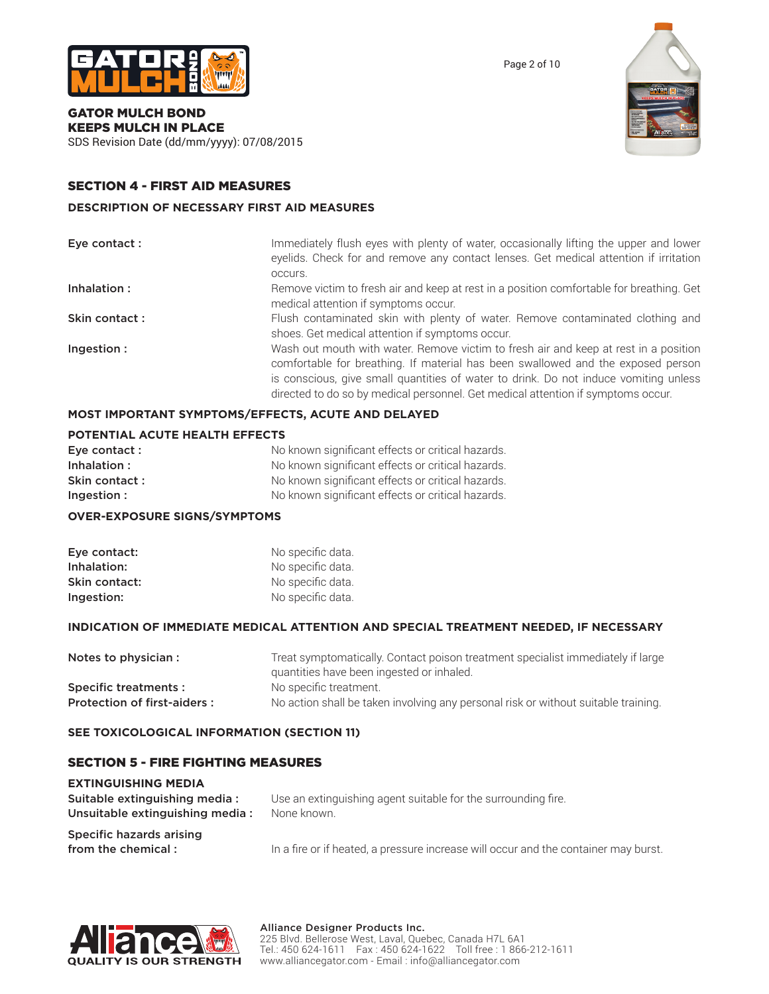

Page 2 of 10



# GATOR MULCH BOND KEEPS MULCH IN PLACE

SDS Revision Date (dd/mm/yyyy): 07/08/2015

# SECTION 4 - FIRST AID MEASURES

### **DESCRIPTION OF NECESSARY FIRST AID MEASURES**

| Eye contact : | Immediately flush eyes with plenty of water, occasionally lifting the upper and lower<br>eyelids. Check for and remove any contact lenses. Get medical attention if irritation<br>occurs.                                                                                                                                                            |
|---------------|------------------------------------------------------------------------------------------------------------------------------------------------------------------------------------------------------------------------------------------------------------------------------------------------------------------------------------------------------|
| Inhalation:   | Remove victim to fresh air and keep at rest in a position comfortable for breathing. Get<br>medical attention if symptoms occur.                                                                                                                                                                                                                     |
| Skin contact: | Flush contaminated skin with plenty of water. Remove contaminated clothing and<br>shoes. Get medical attention if symptoms occur.                                                                                                                                                                                                                    |
| Ingestion:    | Wash out mouth with water. Remove victim to fresh air and keep at rest in a position<br>comfortable for breathing. If material has been swallowed and the exposed person<br>is conscious, give small quantities of water to drink. Do not induce vomiting unless<br>directed to do so by medical personnel. Get medical attention if symptoms occur. |

# **MOST IMPORTANT SYMPTOMS/EFFECTS, ACUTE AND DELAYED**

### **POTENTIAL ACUTE HEALTH EFFECTS**

| Eye contact : | No known significant effects or critical hazards. |
|---------------|---------------------------------------------------|
| Inhalation:   | No known significant effects or critical hazards. |
| Skin contact: | No known significant effects or critical hazards. |
| Ingestion:    | No known significant effects or critical hazards. |

### **OVER-EXPOSURE SIGNS/SYMPTOMS**

| Eye contact:  | No specific data. |
|---------------|-------------------|
| Inhalation:   | No specific data. |
| Skin contact: | No specific data. |
| Ingestion:    | No specific data. |

### **INDICATION OF IMMEDIATE MEDICAL ATTENTION AND SPECIAL TREATMENT NEEDED, IF NECESSARY**

| Notes to physician :        | Treat symptomatically. Contact poison treatment specialist immediately if large    |
|-----------------------------|------------------------------------------------------------------------------------|
|                             | quantities have been ingested or inhaled.                                          |
| Specific treatments:        | No specific treatment.                                                             |
| Protection of first-aiders: | No action shall be taken involving any personal risk or without suitable training. |

## **SEE TOXICOLOGICAL INFORMATION (SECTION 11)**

# SECTION 5 - FIRE FIGHTING MEASURES

| <b>EXTINGUISHING MEDIA</b>      |                                                                                     |
|---------------------------------|-------------------------------------------------------------------------------------|
| Suitable extinguishing media:   | Use an extinguishing agent suitable for the surrounding fire.                       |
| Unsuitable extinguishing media: | None known.                                                                         |
| Specific hazards arising        |                                                                                     |
| from the chemical:              | In a fire or if heated, a pressure increase will occur and the container may burst. |

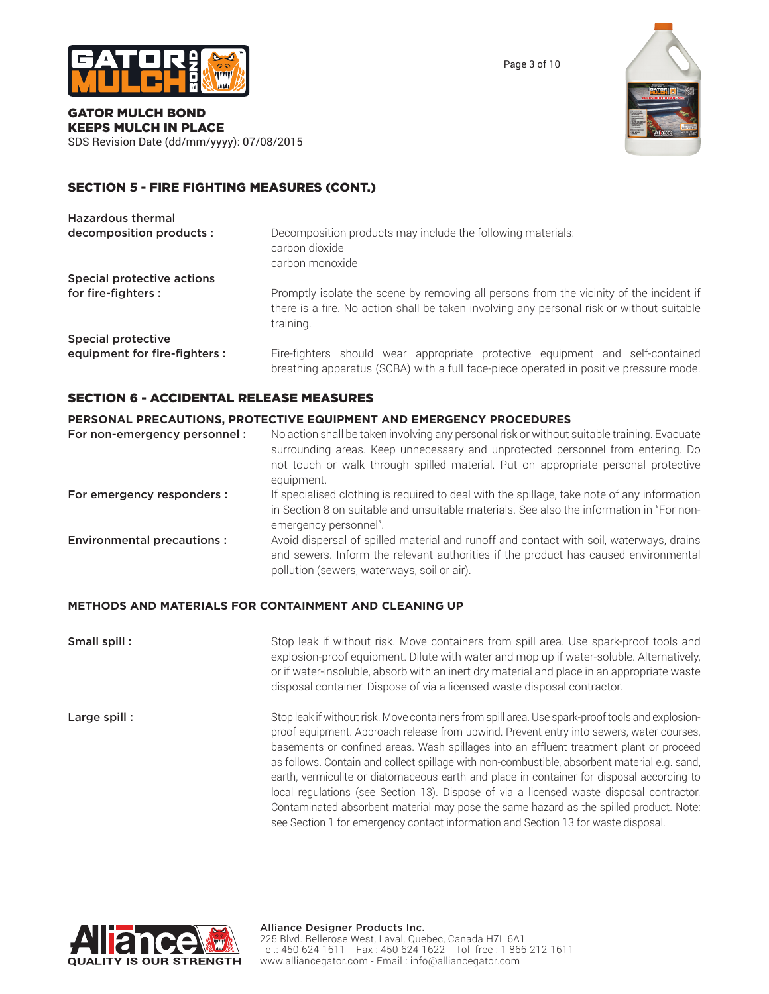



### GATOR MULCH BOND KEEPS MULCH IN PLACE SDS Revision Date (dd/mm/yyyy): 07/08/2015

# SECTION 5 - FIRE FIGHTING MEASURES (CONT.)

| <b>Hazardous thermal</b>      |                                                                                                                                                                                                   |
|-------------------------------|---------------------------------------------------------------------------------------------------------------------------------------------------------------------------------------------------|
| decomposition products :      | Decomposition products may include the following materials:<br>carbon dioxide<br>carbon monoxide                                                                                                  |
| Special protective actions    |                                                                                                                                                                                                   |
| for fire-fighters :           | Promptly isolate the scene by removing all persons from the vicinity of the incident if<br>there is a fire. No action shall be taken involving any personal risk or without suitable<br>training. |
| Special protective            |                                                                                                                                                                                                   |
| equipment for fire-fighters : | Fire-fighters should wear appropriate protective equipment and self-contained<br>breathing apparatus (SCBA) with a full face-piece operated in positive pressure mode.                            |

### SECTION 6 - ACCIDENTAL RELEASE MEASURES

### **PERSONAL PRECAUTIONS, PROTECTIVE EQUIPMENT AND EMERGENCY PROCEDURES**

| For non-emergency personnel:      | No action shall be taken involving any personal risk or without suitable training. Evacuate                                                                                                                                   |
|-----------------------------------|-------------------------------------------------------------------------------------------------------------------------------------------------------------------------------------------------------------------------------|
|                                   | surrounding areas. Keep unnecessary and unprotected personnel from entering. Do                                                                                                                                               |
|                                   | not touch or walk through spilled material. Put on appropriate personal protective                                                                                                                                            |
|                                   | equipment.                                                                                                                                                                                                                    |
| For emergency responders :        | If specialised clothing is required to deal with the spillage, take note of any information                                                                                                                                   |
|                                   | in Section 8 on suitable and unsuitable materials. See also the information in "For non-<br>emergency personnel".                                                                                                             |
| <b>Environmental precautions:</b> | Avoid dispersal of spilled material and runoff and contact with soil, waterways, drains<br>and sewers. Inform the relevant authorities if the product has caused environmental<br>pollution (sewers, waterways, soil or air). |
|                                   |                                                                                                                                                                                                                               |

### **METHODS AND MATERIALS FOR CONTAINMENT AND CLEANING UP**

**Small spill :** Stop leak if without risk. Move containers from spill area. Use spark-proof tools and explosion-proof equipment. Dilute with water and mop up if water-soluble. Alternatively, or if water-insoluble, absorb with an inert dry material and place in an appropriate waste disposal container. Dispose of via a licensed waste disposal contractor. Large spill : Stop leak if without risk. Move containers from spill area. Use spark-proof tools and explosion-

proof equipment. Approach release from upwind. Prevent entry into sewers, water courses, basements or confined areas. Wash spillages into an effluent treatment plant or proceed as follows. Contain and collect spillage with non-combustible, absorbent material e.g. sand, earth, vermiculite or diatomaceous earth and place in container for disposal according to local regulations (see Section 13). Dispose of via a licensed waste disposal contractor. Contaminated absorbent material may pose the same hazard as the spilled product. Note: see Section 1 for emergency contact information and Section 13 for waste disposal.

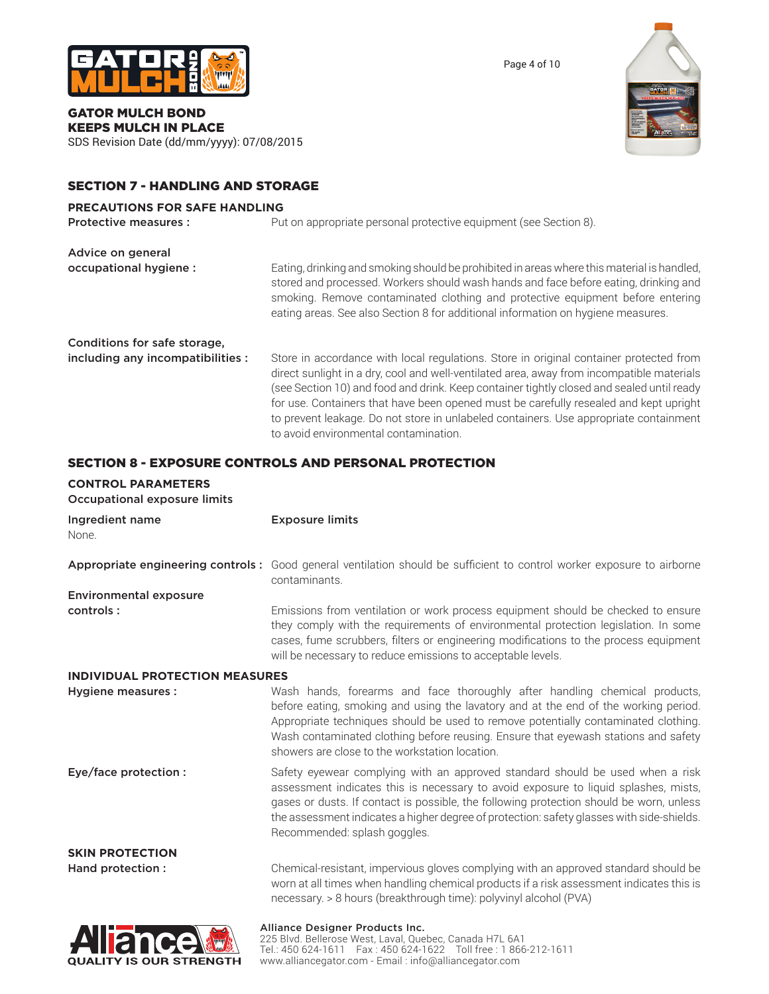

Page 4 of 10



### GATOR MULCH BOND KEEPS MULCH IN PLACE SDS Revision Date (dd/mm/yyyy): 07/08/2015

# SECTION 7 - HANDLING AND STORAGE

# **PRECAUTIONS FOR SAFE HANDLING**

| Protective measures :             | Put on appropriate personal protective equipment (see Section 8).                                                                                                                                                                                                                                                                                                                                                                                                                                           |
|-----------------------------------|-------------------------------------------------------------------------------------------------------------------------------------------------------------------------------------------------------------------------------------------------------------------------------------------------------------------------------------------------------------------------------------------------------------------------------------------------------------------------------------------------------------|
| Advice on general                 |                                                                                                                                                                                                                                                                                                                                                                                                                                                                                                             |
| occupational hygiene:             | Eating, drinking and smoking should be prohibited in areas where this material is handled,<br>stored and processed. Workers should wash hands and face before eating, drinking and<br>smoking. Remove contaminated clothing and protective equipment before entering<br>eating areas. See also Section 8 for additional information on hygiene measures.                                                                                                                                                    |
| Conditions for safe storage,      |                                                                                                                                                                                                                                                                                                                                                                                                                                                                                                             |
| including any incompatibilities : | Store in accordance with local regulations. Store in original container protected from<br>direct sunlight in a dry, cool and well-ventilated area, away from incompatible materials<br>(see Section 10) and food and drink. Keep container tightly closed and sealed until ready<br>for use. Containers that have been opened must be carefully resealed and kept upright<br>to prevent leakage. Do not store in unlabeled containers. Use appropriate containment<br>to avoid environmental contamination. |

# SECTION 8 - EXPOSURE CONTROLS AND PERSONAL PROTECTION

| <b>CONTROL PARAMETERS</b><br>Occupational exposure limits |                                                                                                                                                                                                                                                                                                                                                                                                 |
|-----------------------------------------------------------|-------------------------------------------------------------------------------------------------------------------------------------------------------------------------------------------------------------------------------------------------------------------------------------------------------------------------------------------------------------------------------------------------|
| Ingredient name<br>None.                                  | <b>Exposure limits</b>                                                                                                                                                                                                                                                                                                                                                                          |
|                                                           | Appropriate engineering controls: Good general ventilation should be sufficient to control worker exposure to airborne<br>contaminants.                                                                                                                                                                                                                                                         |
| <b>Environmental exposure</b>                             |                                                                                                                                                                                                                                                                                                                                                                                                 |
| controls:                                                 | Emissions from ventilation or work process equipment should be checked to ensure<br>they comply with the requirements of environmental protection legislation. In some<br>cases, fume scrubbers, filters or engineering modifications to the process equipment<br>will be necessary to reduce emissions to acceptable levels.                                                                   |
| <b>INDIVIDUAL PROTECTION MEASURES</b>                     |                                                                                                                                                                                                                                                                                                                                                                                                 |
| Hygiene measures :                                        | Wash hands, forearms and face thoroughly after handling chemical products,<br>before eating, smoking and using the lavatory and at the end of the working period.<br>Appropriate techniques should be used to remove potentially contaminated clothing.<br>Wash contaminated clothing before reusing. Ensure that eyewash stations and safety<br>showers are close to the workstation location. |
| Eye/face protection :                                     | Safety eyewear complying with an approved standard should be used when a risk<br>assessment indicates this is necessary to avoid exposure to liquid splashes, mists,<br>gases or dusts. If contact is possible, the following protection should be worn, unless<br>the assessment indicates a higher degree of protection: safety glasses with side-shields.<br>Recommended: splash goggles.    |
| <b>SKIN PROTECTION</b>                                    |                                                                                                                                                                                                                                                                                                                                                                                                 |
| Hand protection :                                         | Chemical-resistant, impervious gloves complying with an approved standard should be<br>worn at all times when handling chemical products if a risk assessment indicates this is<br>necessary. > 8 hours (breakthrough time): polyvinyl alcohol (PVA)                                                                                                                                            |
| $\Delta$                                                  | <b>Alliance Designer Products Inc.</b>                                                                                                                                                                                                                                                                                                                                                          |

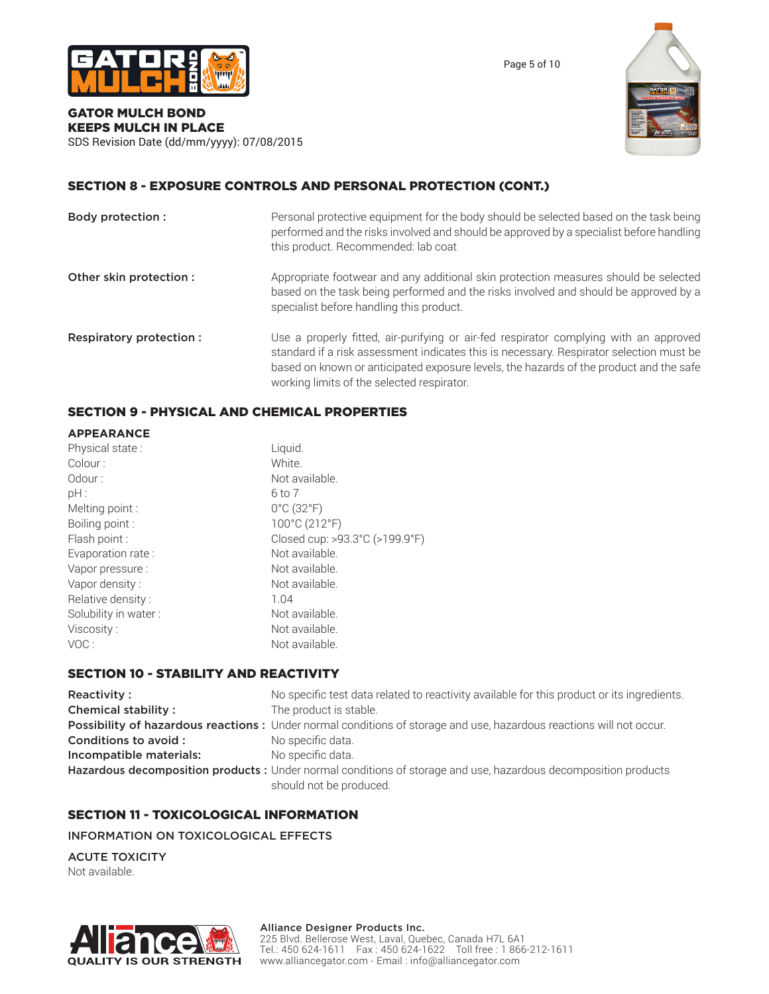

Page 5 of 10



### GATOR MULCH BOND KEEPS MULCH IN PLACE SDS Revision Date (dd/mm/yyyy): 07/08/2015

SECTION 8 - EXPOSURE CONTROLS AND PERSONAL PROTECTION (CONT.)

| Body protection :       | Personal protective equipment for the body should be selected based on the task being<br>performed and the risks involved and should be approved by a specialist before handling<br>this product. Recommended: lab coat                                                                                                  |
|-------------------------|--------------------------------------------------------------------------------------------------------------------------------------------------------------------------------------------------------------------------------------------------------------------------------------------------------------------------|
| Other skin protection : | Appropriate footwear and any additional skin protection measures should be selected<br>based on the task being performed and the risks involved and should be approved by a<br>specialist before handling this product.                                                                                                  |
| Respiratory protection: | Use a properly fitted, air-purifying or air-fed respirator complying with an approved<br>standard if a risk assessment indicates this is necessary. Respirator selection must be<br>based on known or anticipated exposure levels, the hazards of the product and the safe<br>working limits of the selected respirator. |

# SECTION 9 - PHYSICAL AND CHEMICAL PROPERTIES

| <b>APPEARANCE</b>    |                                 |
|----------------------|---------------------------------|
| Physical state:      | Liquid.                         |
| Colour:              | White.                          |
| Odour:               | Not available.                  |
| pH:                  | 6 to 7                          |
| Melting point :      | $0^{\circ}$ C (32 $^{\circ}$ F) |
| Boiling point:       | 100°C (212°F)                   |
| Flash point :        | Closed cup: >93.3°C (>199.9°F)  |
| Evaporation rate:    | Not available.                  |
| Vapor pressure :     | Not available.                  |
| Vapor density:       | Not available.                  |
| Relative density:    | 1.04                            |
| Solubility in water: | Not available.                  |
| Viscosity:           | Not available.                  |
| VOC:                 | Not available.                  |

# SECTION 10 - STABILITY AND REACTIVITY

| Reactivity:                | No specific test data related to reactivity available for this product or its ingredients.                          |
|----------------------------|---------------------------------------------------------------------------------------------------------------------|
| <b>Chemical stability:</b> | The product is stable.                                                                                              |
|                            | Possibility of hazardous reactions: Under normal conditions of storage and use, hazardous reactions will not occur. |
| Conditions to avoid :      | No specific data.                                                                                                   |
| Incompatible materials:    | No specific data.                                                                                                   |
|                            | Hazardous decomposition products : Under normal conditions of storage and use, hazardous decomposition products     |
|                            | should not be produced.                                                                                             |

# SECTION 11 - TOXICOLOGICAL INFORMATION

INFORMATION ON TOXICOLOGICAL EFFECTS

ACUTE TOXICITY Not available.



### Alliance Designer Products Inc.

225 Blvd. Bellerose West, Laval, Quebec, Canada H7L 6A1 Tel.: 450 624-1611 Fax : 450 624-1622 Toll free : 1 866-212-1611 www.alliancegator.com - Email : info@alliancegator.com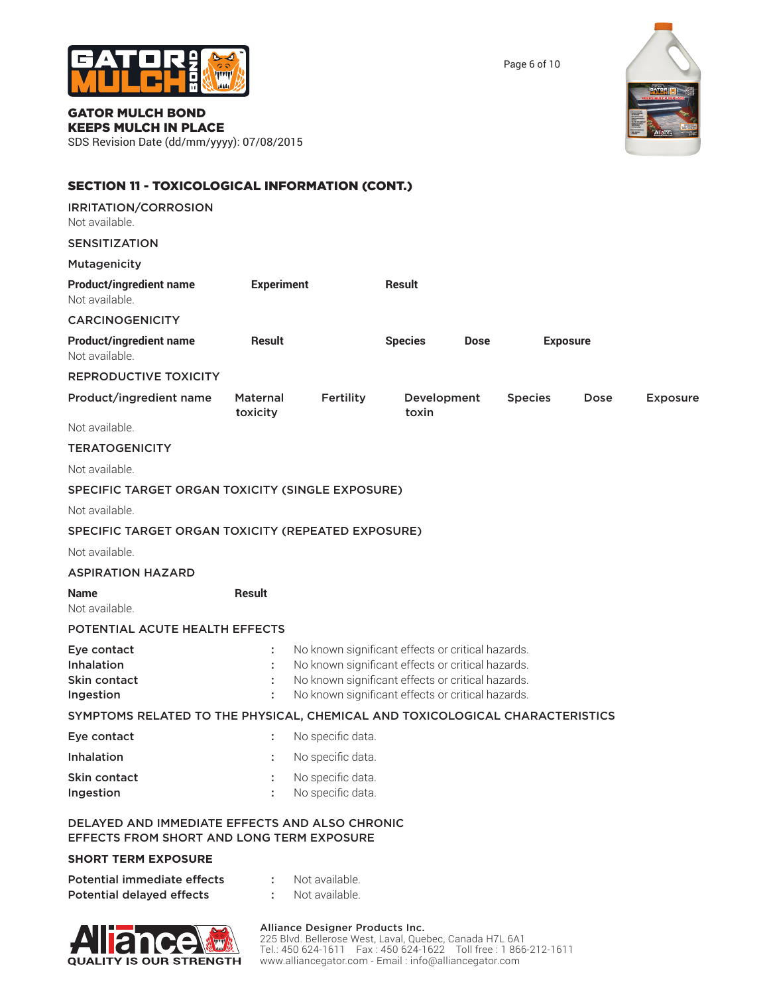

Page 6 of 10



# GATOR MULCH BOND KEEPS MULCH IN PLACE

SDS Revision Date (dd/mm/yyyy): 07/08/2015

| <b>SECTION 11 - TOXICOLOGICAL INFORMATION (CONT.)</b>                                              |                             |                                                                                                                                                                                                                  |                      |             |                |                 |                 |
|----------------------------------------------------------------------------------------------------|-----------------------------|------------------------------------------------------------------------------------------------------------------------------------------------------------------------------------------------------------------|----------------------|-------------|----------------|-----------------|-----------------|
| <b>IRRITATION/CORROSION</b><br>Not available.                                                      |                             |                                                                                                                                                                                                                  |                      |             |                |                 |                 |
| <b>SENSITIZATION</b>                                                                               |                             |                                                                                                                                                                                                                  |                      |             |                |                 |                 |
| Mutagenicity                                                                                       |                             |                                                                                                                                                                                                                  |                      |             |                |                 |                 |
| <b>Product/ingredient name</b><br>Not available.                                                   | <b>Experiment</b>           |                                                                                                                                                                                                                  | <b>Result</b>        |             |                |                 |                 |
| <b>CARCINOGENICITY</b>                                                                             |                             |                                                                                                                                                                                                                  |                      |             |                |                 |                 |
| <b>Product/ingredient name</b><br>Not available.                                                   | <b>Result</b>               |                                                                                                                                                                                                                  | <b>Species</b>       | <b>Dose</b> |                | <b>Exposure</b> |                 |
| <b>REPRODUCTIVE TOXICITY</b>                                                                       |                             |                                                                                                                                                                                                                  |                      |             |                |                 |                 |
| Product/ingredient name                                                                            | <b>Maternal</b><br>toxicity | Fertility                                                                                                                                                                                                        | Development<br>toxin |             | <b>Species</b> | Dose            | <b>Exposure</b> |
| Not available.                                                                                     |                             |                                                                                                                                                                                                                  |                      |             |                |                 |                 |
| <b>TERATOGENICITY</b>                                                                              |                             |                                                                                                                                                                                                                  |                      |             |                |                 |                 |
| Not available.                                                                                     |                             |                                                                                                                                                                                                                  |                      |             |                |                 |                 |
| SPECIFIC TARGET ORGAN TOXICITY (SINGLE EXPOSURE)                                                   |                             |                                                                                                                                                                                                                  |                      |             |                |                 |                 |
| Not available.                                                                                     |                             |                                                                                                                                                                                                                  |                      |             |                |                 |                 |
| SPECIFIC TARGET ORGAN TOXICITY (REPEATED EXPOSURE)                                                 |                             |                                                                                                                                                                                                                  |                      |             |                |                 |                 |
| Not available.                                                                                     |                             |                                                                                                                                                                                                                  |                      |             |                |                 |                 |
| <b>ASPIRATION HAZARD</b>                                                                           |                             |                                                                                                                                                                                                                  |                      |             |                |                 |                 |
| <b>Name</b><br>Not available.                                                                      | <b>Result</b>               |                                                                                                                                                                                                                  |                      |             |                |                 |                 |
| POTENTIAL ACUTE HEALTH EFFECTS                                                                     |                             |                                                                                                                                                                                                                  |                      |             |                |                 |                 |
| Eye contact<br><b>Inhalation</b><br>Skin contact<br>Ingestion                                      |                             | No known significant effects or critical hazards.<br>No known significant effects or critical hazards.<br>No known significant effects or critical hazards.<br>No known significant effects or critical hazards. |                      |             |                |                 |                 |
| SYMPTOMS RELATED TO THE PHYSICAL, CHEMICAL AND TOXICOLOGICAL CHARACTERISTICS                       |                             |                                                                                                                                                                                                                  |                      |             |                |                 |                 |
| Eye contact                                                                                        |                             | No specific data.                                                                                                                                                                                                |                      |             |                |                 |                 |
| Inhalation                                                                                         |                             | No specific data.                                                                                                                                                                                                |                      |             |                |                 |                 |
| Skin contact<br>Ingestion                                                                          |                             | No specific data.<br>No specific data.                                                                                                                                                                           |                      |             |                |                 |                 |
| DELAYED AND IMMEDIATE EFFECTS AND ALSO CHRONIC<br><b>EFFECTS FROM SHORT AND LONG TERM EXPOSURE</b> |                             |                                                                                                                                                                                                                  |                      |             |                |                 |                 |
| <b>SHORT TERM EXPOSURE</b>                                                                         |                             |                                                                                                                                                                                                                  |                      |             |                |                 |                 |
|                                                                                                    |                             |                                                                                                                                                                                                                  |                      |             |                |                 |                 |

| Potential immediate effects | Not available. |
|-----------------------------|----------------|
| Potential delayed effects   | Not available. |



### Alliance Designer Products Inc.

225 Blvd. Bellerose West, Laval, Quebec, Canada H7L 6A1 Tel.: 450 624-1611 Fax : 450 624-1622 Toll free : 1 866-212-1611 www.alliancegator.com - Email : info@alliancegator.com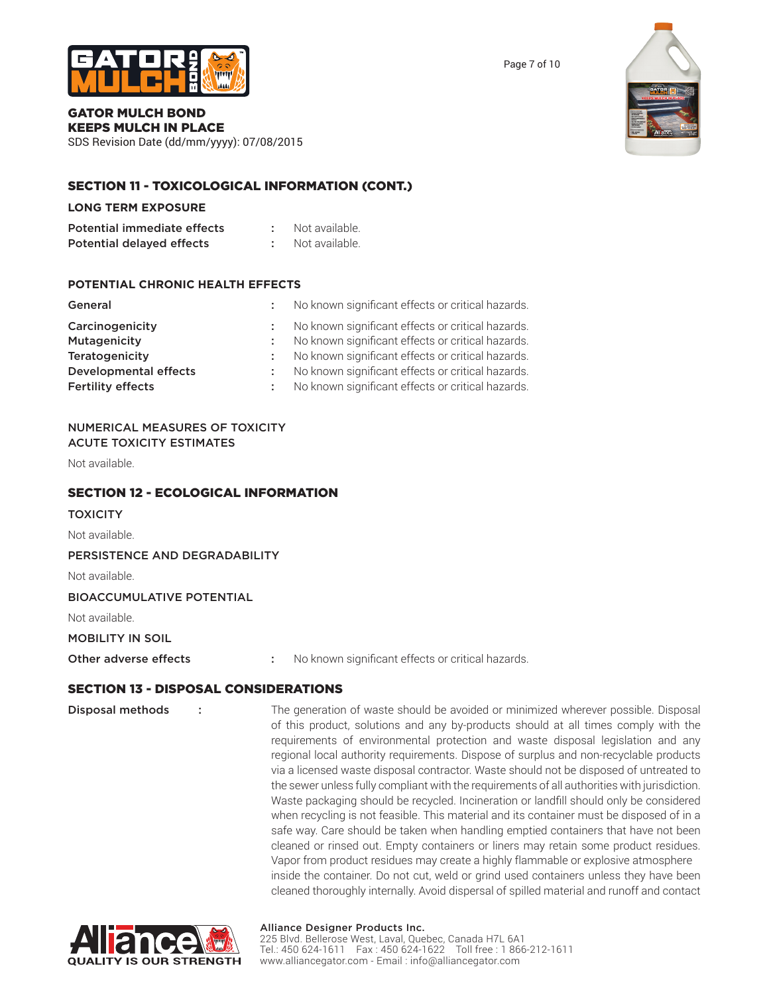

### GATOR MULCH BOND KEEPS MULCH IN PLACE

SDS Revision Date (dd/mm/yyyy): 07/08/2015

# SECTION 11 - TOXICOLOGICAL INFORMATION (CONT.)

### **LONG TERM EXPOSURE**

| Potential immediate effects | Not available. |
|-----------------------------|----------------|
| Potential delayed effects   | Not available. |

# **POTENTIAL CHRONIC HEALTH EFFECTS**

| General                  | No known significant effects or critical hazards. |
|--------------------------|---------------------------------------------------|
| Carcinogenicity          | No known significant effects or critical hazards. |
| Mutagenicity             | No known significant effects or critical hazards. |
| <b>Teratogenicity</b>    | No known significant effects or critical hazards. |
| Developmental effects    | No known significant effects or critical hazards. |
| <b>Fertility effects</b> | No known significant effects or critical hazards. |

### NUMERICAL MEASURES OF TOXICITY ACUTE TOXICITY ESTIMATES

Not available.

# SECTION 12 - ECOLOGICAL INFORMATION

**TOXICITY** 

Not available.

PERSISTENCE AND DEGRADABILITY

Not available.

### BIOACCUMULATIVE POTENTIAL

Not available.

MOBILITY IN SOIL

Other adverse effects : No known significant effects or critical hazards.

# SECTION 13 - DISPOSAL CONSIDERATIONS

Disposal methods : The generation of waste should be avoided or minimized wherever possible. Disposal of this product, solutions and any by-products should at all times comply with the requirements of environmental protection and waste disposal legislation and any regional local authority requirements. Dispose of surplus and non-recyclable products via a licensed waste disposal contractor. Waste should not be disposed of untreated to the sewer unless fully compliant with the requirements of all authorities with jurisdiction. Waste packaging should be recycled. Incineration or landfill should only be considered when recycling is not feasible. This material and its container must be disposed of in a safe way. Care should be taken when handling emptied containers that have not been cleaned or rinsed out. Empty containers or liners may retain some product residues. Vapor from product residues may create a highly flammable or explosive atmosphere inside the container. Do not cut, weld or grind used containers unless they have been cleaned thoroughly internally. Avoid dispersal of spilled material and runoff and contact



### Alliance Designer Products Inc.

225 Blvd. Bellerose West, Laval, Quebec, Canada H7L 6A1 Tel.: 450 624-1611 Fax : 450 624-1622 Toll free : 1 866-212-1611 www.alliancegator.com - Email : info@alliancegator.com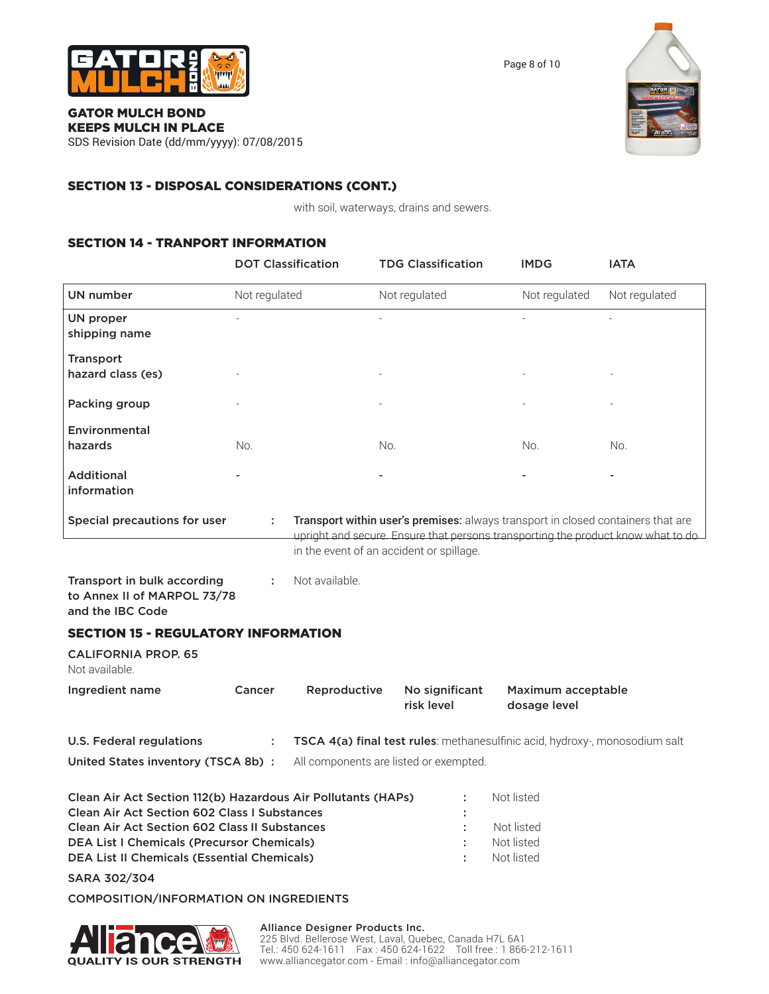

Page 8 of 10

### GATOR MULCH BOND KEEPS MULCH IN PLACE

SDS Revision Date (dd/mm/yyyy): 07/08/2015

# SECTION 13 - DISPOSAL CONSIDERATIONS (CONT.)

with soil, waterways, drains and sewers.

# SECTION 14 - TRANPORT INFORMATION

|                                                                                                                                                                      | <b>DOT Classification</b> |                | <b>TDG Classification</b>                | <b>IMDG</b>                                                                                                                                                          | <b>IATA</b>   |
|----------------------------------------------------------------------------------------------------------------------------------------------------------------------|---------------------------|----------------|------------------------------------------|----------------------------------------------------------------------------------------------------------------------------------------------------------------------|---------------|
| UN number                                                                                                                                                            | Not regulated             |                | Not regulated                            | Not regulated                                                                                                                                                        | Not regulated |
| UN proper<br>shipping name                                                                                                                                           |                           |                |                                          |                                                                                                                                                                      |               |
| <b>Transport</b><br>hazard class (es)                                                                                                                                |                           |                |                                          |                                                                                                                                                                      |               |
| Packing group                                                                                                                                                        |                           |                |                                          |                                                                                                                                                                      |               |
| Environmental<br>hazards                                                                                                                                             | No.                       |                | No.                                      | No.                                                                                                                                                                  | No.           |
| <b>Additional</b><br>information                                                                                                                                     |                           |                |                                          |                                                                                                                                                                      |               |
| Special precautions for user                                                                                                                                         | ÷                         |                |                                          | Transport within user's premises: always transport in closed containers that are<br>upright and secure. Ensure that persons transporting the product know what to do |               |
|                                                                                                                                                                      |                           |                | in the event of an accident or spillage. |                                                                                                                                                                      |               |
| Transport in bulk according<br>to Annex II of MARPOL 73/78<br>and the IBC Code                                                                                       |                           | Not available. |                                          |                                                                                                                                                                      |               |
| <b>SECTION 15 - REGULATORY INFORMATION</b>                                                                                                                           |                           |                |                                          |                                                                                                                                                                      |               |
| <b>CALIFORNIA PROP. 65</b><br>Not available.                                                                                                                         |                           |                |                                          |                                                                                                                                                                      |               |
| Ingredient name                                                                                                                                                      | Cancer                    | Reproductive   | No significant<br>risk level             | Maximum acceptable<br>dosage level                                                                                                                                   |               |
| <b>U.S. Federal regulations</b>                                                                                                                                      | ÷                         |                |                                          | TSCA 4(a) final test rules: methanesulfinic acid, hydroxy-, monosodium salt                                                                                          |               |
| United States inventory (TSCA 8b) :                                                                                                                                  |                           |                | All components are listed or exempted.   |                                                                                                                                                                      |               |
| Clean Air Act Section 112(b) Hazardous Air Pollutants (HAPs)<br>Clean Air Act Section 602 Class I Substances<br><b>Clean Air Act Section 602 Class II Substances</b> |                           |                |                                          | Not listed<br>Not listed                                                                                                                                             |               |
| <b>DEA List I Chemicals (Precursor Chemicals)</b><br><b>DEA List II Chemicals (Essential Chemicals)</b>                                                              |                           |                |                                          | Not listed<br>Not listed                                                                                                                                             |               |

SARA 302/304

### COMPOSITION/INFORMATION ON INGREDIENTS



### Alliance Designer Products Inc. 225 Blvd. Bellerose West, Laval, Quebec, Canada H7L 6A1 Tel.: 450 624-1611 Fax : 450 624-1622 Toll free : 1 866-212-1611 www.alliancegator.com - Email : info@alliancegator.com

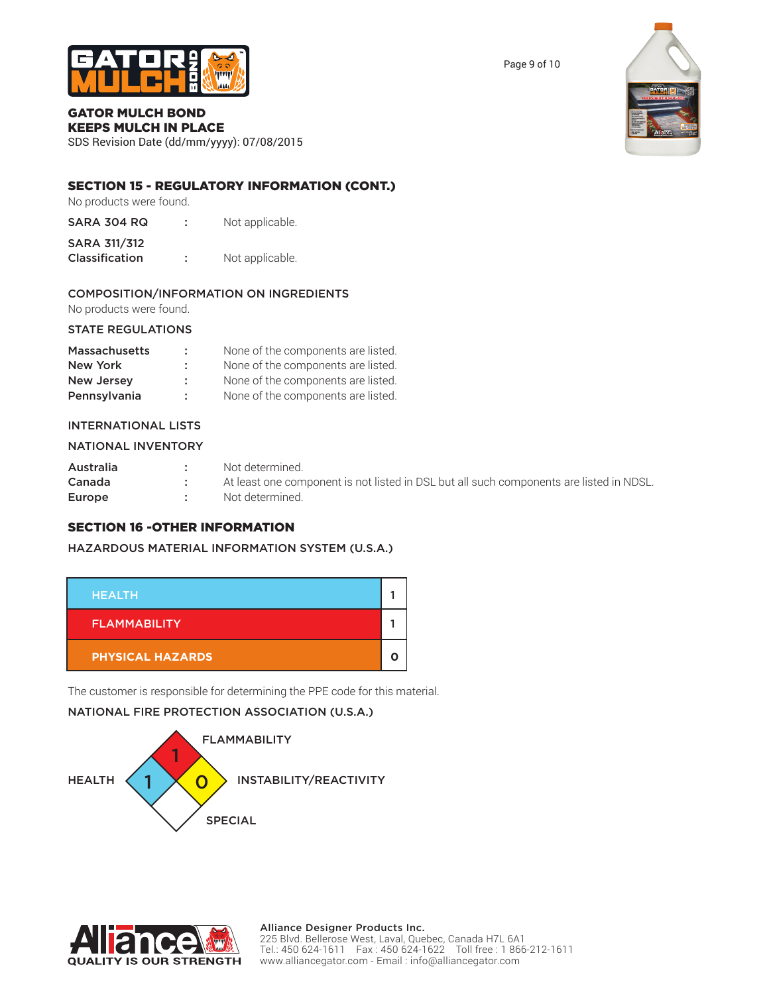

# GATOR MULCH BOND

KEEPS MULCH IN PLACE SDS Revision Date (dd/mm/yyyy): 07/08/2015

# SECTION 15 - REGULATORY INFORMATION (CONT.)

No products were found.

- SARA 304 RQ : Not applicable.
- SARA 311/312 Classification : Not applicable.

# COMPOSITION/INFORMATION ON INGREDIENTS

No products were found.

### STATE REGULATIONS

| <b>Massachusetts</b> | ÷. | None of the components are listed. |
|----------------------|----|------------------------------------|
| New York             | ÷  | None of the components are listed. |
| <b>New Jersey</b>    | ÷. | None of the components are listed. |
| Pennsylvania         | ÷  | None of the components are listed. |

### INTERNATIONAL LISTS

| NATIONAL INVENTORY |             |                                                                                         |
|--------------------|-------------|-----------------------------------------------------------------------------------------|
| Australia          | <b>COLL</b> | Not determined.                                                                         |
| Canada             |             | At least one component is not listed in DSL but all such components are listed in NDSL. |
| Europe             |             | Not determined.                                                                         |

# SECTION 16 -OTHER INFORMATION

### HAZARDOUS MATERIAL INFORMATION SYSTEM (U.S.A.)



The customer is responsible for determining the PPE code for this material.

# NATIONAL FIRE PROTECTION ASSOCIATION (U.S.A.)